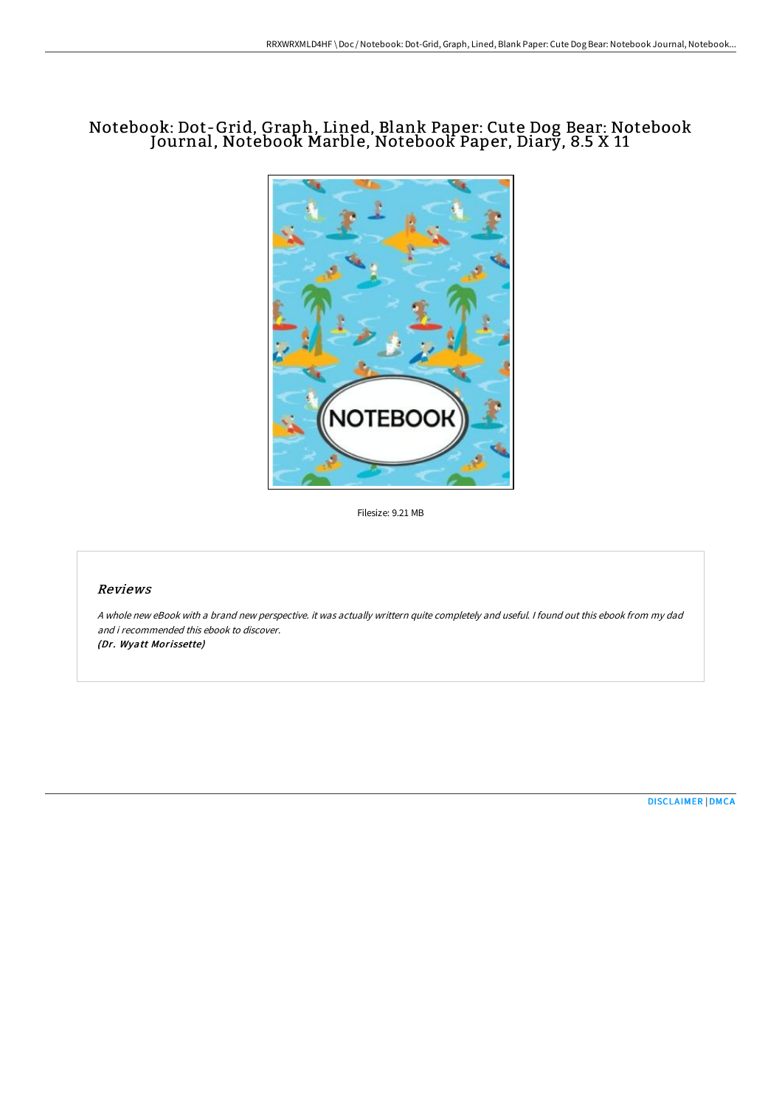# Notebook: Dot-Grid, Graph, Lined, Blank Paper: Cute Dog Bear: Notebook Journal, Notebook Marble, Notebook Paper, Diary, 8.5 X 11



Filesize: 9.21 MB

#### Reviews

A whole new eBook with <sup>a</sup> brand new perspective. it was actually writtern quite completely and useful. I found out this ebook from my dad and i recommended this ebook to discover.

(Dr. Wyatt Morissette)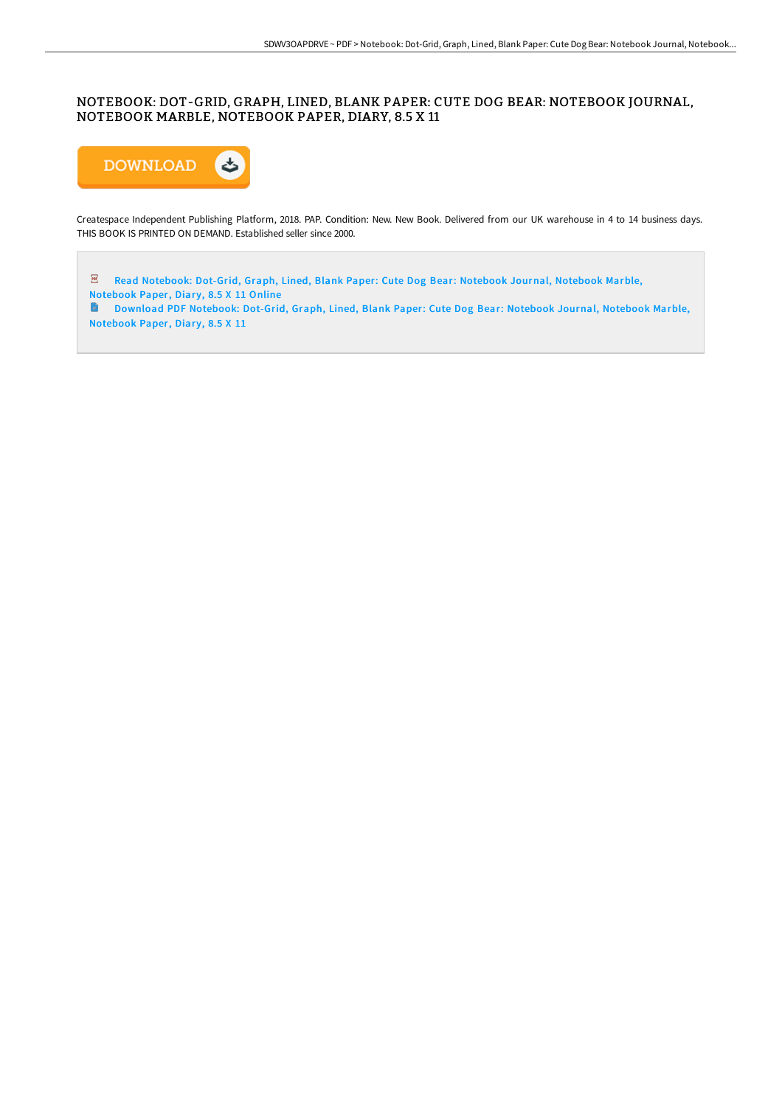### NOTEBOOK: DOT-GRID, GRAPH, LINED, BLANK PAPER: CUTE DOG BEAR: NOTEBOOK JOURNAL, NOTEBOOK MARBLE, NOTEBOOK PAPER, DIARY, 8.5 X 11



Createspace Independent Publishing Platform, 2018. PAP. Condition: New. New Book. Delivered from our UK warehouse in 4 to 14 business days. THIS BOOK IS PRINTED ON DEMAND. Established seller since 2000.

Read [Notebook:](http://www.bookdirs.com/notebook-dot-grid-graph-lined-blank-paper-cute-d.html) Dot-Grid, Graph, Lined, Blank Paper: Cute Dog Bear: Notebook Journal, Notebook Marble, Notebook Paper, Diary, 8.5 X 11 Online

Download PDF [Notebook:](http://www.bookdirs.com/notebook-dot-grid-graph-lined-blank-paper-cute-d.html) Dot-Grid, Graph, Lined, Blank Paper: Cute Dog Bear: Notebook Journal, Notebook Marble, Notebook Paper, Diary, 8.5 X 11